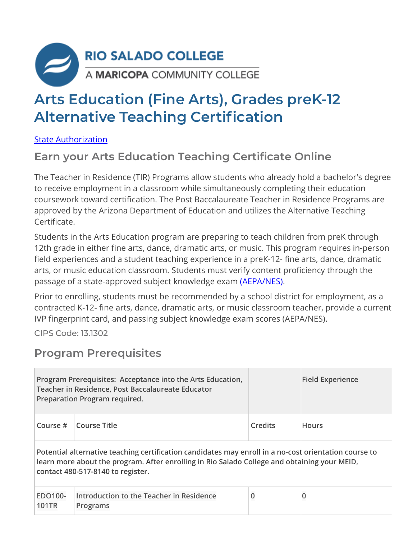

# **Arts Education (Fine Arts), Grades preK-12 Alternative Teaching Certification**

[State Authorization](https://www.riosalado.edu/node/2416)

### **Earn your Arts Education Teaching Certificate Online**

The Teacher in Residence (TIR) Programs allow students who already hold a bachelor's degree to receive employment in a classroom while simultaneously completing their education coursework toward certification. The Post Baccalaureate Teacher in Residence Programs are approved by the Arizona Department of Education and utilizes the Alternative Teaching Certificate.

Students in the Arts Education program are preparing to teach children from preK through 12th grade in either fine arts, dance, dramatic arts, or music. This program requires in-person field experiences and a student teaching experience in a preK-12- fine arts, dance, dramatic arts, or music education classroom. Students must verify content proficiency through the passage of a state-approved subject knowledge exam [\(AEPA/NES\).](http://www.aepa.nesinc.com/)

Prior to enrolling, students must be recommended by a school district for employment, as a contracted K-12- fine arts, dance, dramatic arts, or music classroom teacher, provide a current IVP fingerprint card, and passing subject knowledge exam scores (AEPA/NES).

CIPS Code: [13.1302](http://nces.ed.gov/ipeds/cipcode/cipdetail.aspx?y=55&cipid=88160)

#### **Program Prerequisites**

|                                                                                                                                                                                                                                            | Program Prerequisites: Acceptance into the Arts Education,<br>Teacher in Residence, Post Baccalaureate Educator<br>Preparation Program required. |                         | <b>Field Experience</b> |  |  |
|--------------------------------------------------------------------------------------------------------------------------------------------------------------------------------------------------------------------------------------------|--------------------------------------------------------------------------------------------------------------------------------------------------|-------------------------|-------------------------|--|--|
| Course $#$                                                                                                                                                                                                                                 | Course Title                                                                                                                                     | Credits<br><b>Hours</b> |                         |  |  |
| Potential alternative teaching certification candidates may enroll in a no-cost orientation course to<br>learn more about the program. After enrolling in Rio Salado College and obtaining your MEID,<br>contact 480-517-8140 to register. |                                                                                                                                                  |                         |                         |  |  |
| EDO100-<br><b>101TR</b>                                                                                                                                                                                                                    | Introduction to the Teacher in Residence<br>Programs                                                                                             | 0                       |                         |  |  |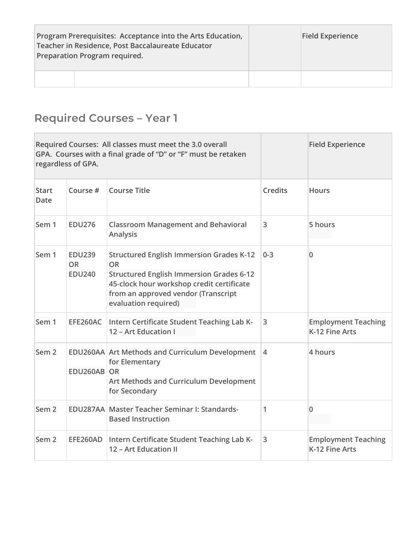| Program Prerequisites: Acceptance into the Arts Education,<br>Teacher in Residence, Post Baccalaureate Educator<br>Preparation Program required. | <b>Field Experience</b> |
|--------------------------------------------------------------------------------------------------------------------------------------------------|-------------------------|
|                                                                                                                                                  |                         |

## **Required Courses – Year 1**

|                             | regardless of GPA.                          | Required Courses: All classes must meet the 3.0 overall<br>GPA. Courses with a final grade of "D" or "F" must be retaken                                                                                                    |                | <b>Field Experience</b>                      |
|-----------------------------|---------------------------------------------|-----------------------------------------------------------------------------------------------------------------------------------------------------------------------------------------------------------------------------|----------------|----------------------------------------------|
| <b>Start</b><br><b>Date</b> | Course #                                    | <b>Course Title</b>                                                                                                                                                                                                         | <b>Credits</b> | <b>Hours</b>                                 |
| Sem 1                       | <b>EDU276</b>                               | <b>Classroom Management and Behavioral</b><br><b>Analysis</b>                                                                                                                                                               | 3              | 5 hours                                      |
| Sem 1                       | <b>EDU239</b><br><b>OR</b><br><b>EDU240</b> | <b>Structured English Immersion Grades K-12</b><br><b>OR</b><br><b>Structured English Immersion Grades 6-12</b><br>45-clock hour workshop credit certificate<br>from an approved vendor (Transcript<br>evaluation required) | $0 - 3$        | $\mathbf 0$                                  |
| Sem 1                       | EFE260AC                                    | Intern Certificate Student Teaching Lab K-<br>12 - Art Education I                                                                                                                                                          | 3              | <b>Employment Teaching</b><br>K-12 Fine Arts |
| Sem <sub>2</sub>            | EDU260AB OR                                 | EDU260AA Art Methods and Curriculum Development<br>for Elementary<br>Art Methods and Curriculum Development<br>for Secondary                                                                                                | $\overline{4}$ | 4 hours                                      |
| Sem <sub>2</sub>            |                                             | EDU287AA Master Teacher Seminar I: Standards-<br><b>Based Instruction</b>                                                                                                                                                   | 1              | 0                                            |
| Sem <sub>2</sub>            | EFE260AD                                    | Intern Certificate Student Teaching Lab K-<br>12 - Art Education II                                                                                                                                                         | 3              | <b>Employment Teaching</b><br>K-12 Fine Arts |